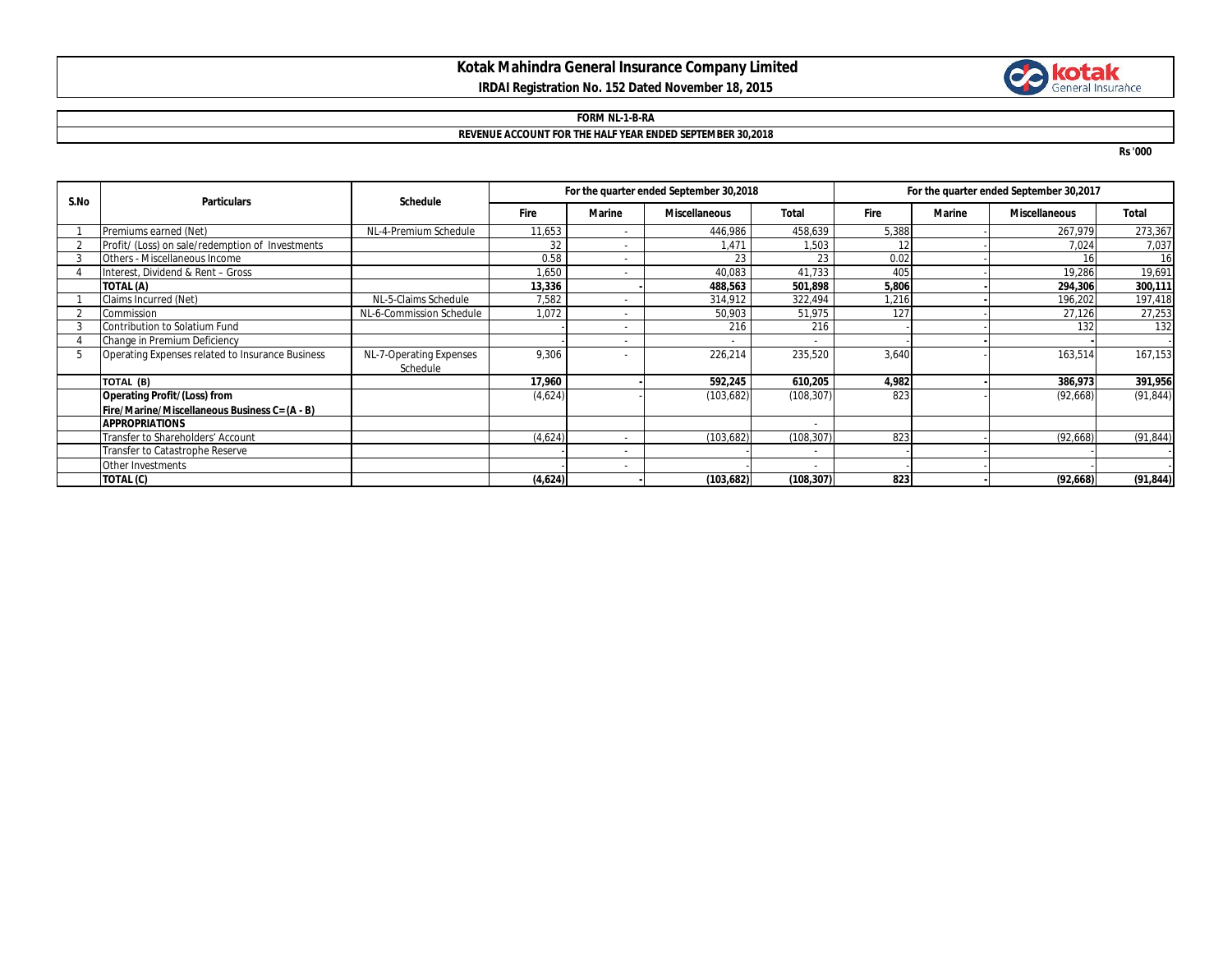## **Kotak Mahindra General Insurance Company Limited IRDAI Registration No. 152 Dated November 18, 2015**



## **FORM NL-1-B-RA REVENUE ACCOUNT FOR THE HALF YEAR ENDED SEPTEMBER 30,2018**

**Rs '000**

| S.No | <b>Particulars</b>                               | <b>Schedule</b>          | For the quarter ended September 30,2018 |                          |                      |            | For the quarter ended September 30,2017 |               |                      |              |
|------|--------------------------------------------------|--------------------------|-----------------------------------------|--------------------------|----------------------|------------|-----------------------------------------|---------------|----------------------|--------------|
|      |                                                  |                          | Fire                                    | <b>Marine</b>            | <b>Miscellaneous</b> | Total      | Fire                                    | <b>Marine</b> | <b>Miscellaneous</b> | <b>Total</b> |
|      | Premiums earned (Net)                            | NL-4-Premium Schedule    | 11,653                                  |                          | 446,986              | 458,639    | 5,388                                   |               | 267,979              | 273,367      |
|      | Profit/ (Loss) on sale/redemption of Investments |                          | 32                                      |                          | 1.471                | 1,503      | 12                                      |               | 7,024                | 7,037        |
|      | Others - Miscellaneous Income                    |                          | 0.58                                    | $\overline{\phantom{a}}$ | 23                   | 23         | 0.02                                    |               |                      | 16           |
|      | Interest, Dividend & Rent - Gross                |                          | 1,650                                   |                          | 40,083               | 41,733     | 405                                     |               | 19,286               | 19,691       |
|      | TOTAL (A)                                        |                          | 13,336                                  |                          | 488,563              | 501,898    | 5,806                                   |               | 294,306              | 300,111      |
|      | Claims Incurred (Net)                            | NL-5-Claims Schedule     | 7,582                                   |                          | 314,912              | 322,494    | .216                                    |               | 196,202              | 197,418      |
|      | Commission                                       | NL-6-Commission Schedule | 1,072                                   |                          | 50,903               | 51,975     | 127                                     |               | 27,126               | 27,253       |
|      | Contribution to Solatium Fund                    |                          |                                         |                          | 216                  | 216        |                                         |               | 132                  | 132          |
|      | Change in Premium Deficiency                     |                          |                                         |                          |                      |            |                                         |               |                      |              |
|      | Operating Expenses related to Insurance Business | NL-7-Operating Expenses  | 9,306                                   |                          | 226,214              | 235,520    | 3,640                                   |               | 163,514              | 167,153      |
|      |                                                  | Schedule                 |                                         |                          |                      |            |                                         |               |                      |              |
|      | TOTAL (B)                                        |                          | 17,960                                  |                          | 592,245              | 610,205    | 4,982                                   |               | 386,973              | 391,956      |
|      | <b>Operating Profit/(Loss) from</b>              |                          | (4,624)                                 |                          | (103, 682)           | (108, 307) | 823                                     |               | (92,668)             | (91, 844)    |
|      | Fire/Marine/Miscellaneous Business C= (A - B)    |                          |                                         |                          |                      |            |                                         |               |                      |              |
|      | <b>APPROPRIATIONS</b>                            |                          |                                         |                          |                      |            |                                         |               |                      |              |
|      | Transfer to Shareholders' Account                |                          | (4,624)                                 |                          | (103, 682)           | (108, 307) | 823                                     |               | (92, 668)            | (91, 844)    |
|      | Transfer to Catastrophe Reserve                  |                          |                                         | $\overline{\phantom{a}}$ |                      |            |                                         |               |                      |              |
|      | Other Investments                                |                          |                                         |                          |                      |            |                                         |               |                      |              |
|      | TOTAL (C)                                        |                          | (4,624)                                 |                          | (103, 682)           | (108, 307) | 823                                     |               | (92, 668)            | (91, 844)    |